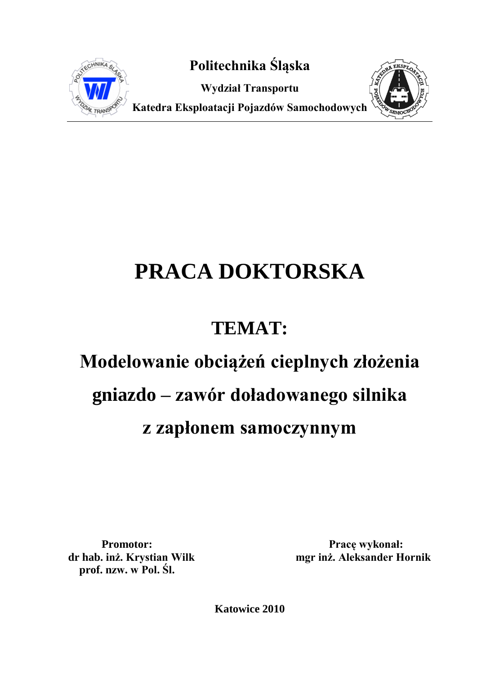

**Politechnika Śląska**

**Wydział Transportu**



**Katedra Eksploatacji Pojazdów Samochodowych**

## **PRACA DOKTORSKA**

## **TEMAT:**

# **Modelowanie obciążeń cieplnych złożenia gniazdo – zawór doładowanego silnika**

### **z zapłonem samoczynnym**

 **prof. nzw. w Pol. Śl.**

Promotor: Promotor: Prace wykonał: **dr hab. inż. Krystian Wilk mgr inż. Aleksander Hornik**

**Katowice 2010**